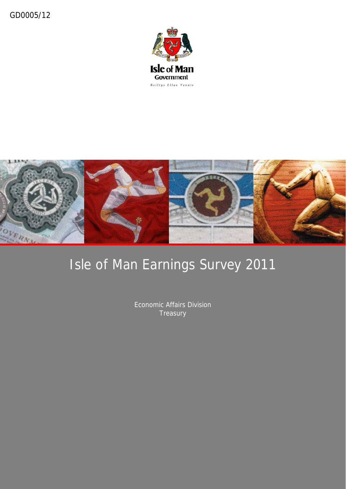



### Isle of Man Earnings Survey 2011

Economic Affairs Division **Treasury**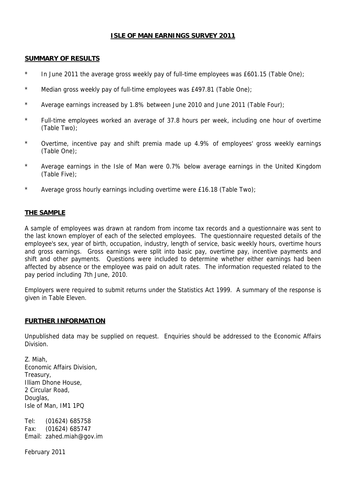### **ISLE OF MAN EARNINGS SURVEY 2011**

### **SUMMARY OF RESULTS**

- \* In June 2011 the average gross weekly pay of full-time employees was £601.15 (Table One);
- \* Median gross weekly pay of full-time employees was £497.81 (Table One);
- \* Average earnings increased by 1.8% between June 2010 and June 2011 (Table Four);
- \* Full-time employees worked an average of 37.8 hours per week, including one hour of overtime (Table Two);
- \* Overtime, incentive pay and shift premia made up 4.9% of employees' gross weekly earnings (Table One);
- \* Average earnings in the Isle of Man were 0.7% below average earnings in the United Kingdom (Table Five);
- \* Average gross hourly earnings including overtime were £16.18 (Table Two);

### **THE SAMPLE**

A sample of employees was drawn at random from income tax records and a questionnaire was sent to the last known employer of each of the selected employees. The questionnaire requested details of the employee's sex, year of birth, occupation, industry, length of service, basic weekly hours, overtime hours and gross earnings. Gross earnings were split into basic pay, overtime pay, incentive payments and shift and other payments. Questions were included to determine whether either earnings had been affected by absence or the employee was paid on adult rates. The information requested related to the pay period including 7th June, 2010.

Employers were required to submit returns under the Statistics Act 1999. A summary of the response is given in Table Eleven.

### **FURTHER INFORMATION**

Unpublished data may be supplied on request. Enquiries should be addressed to the Economic Affairs Division.

Z. Miah, Economic Affairs Division, Treasury, Illiam Dhone House, 2 Circular Road, Douglas, Isle of Man, IM1 1PQ

Tel: (01624) 685758 Fax: (01624) 685747 Email: zahed.miah@gov.im

February 2011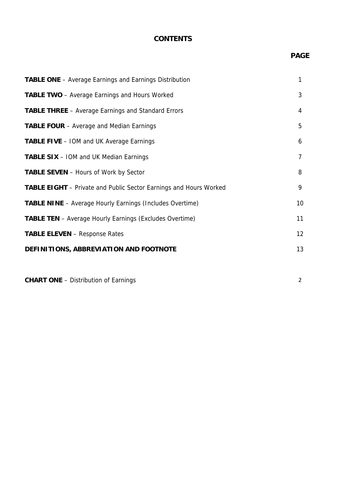### **CONTENTS**

### **PAGE**

| <b>TABLE ONE</b> – Average Earnings and Earnings Distribution            | 1              |
|--------------------------------------------------------------------------|----------------|
| <b>TABLE TWO</b> – Average Earnings and Hours Worked                     | 3              |
| TABLE THREE - Average Earnings and Standard Errors                       | 4              |
| <b>TABLE FOUR</b> – Average and Median Earnings                          | 5              |
| <b>TABLE FIVE - IOM and UK Average Earnings</b>                          | 6              |
| <b>TABLE SIX</b> – IOM and UK Median Earnings                            | $\overline{7}$ |
| <b>TABLE SEVEN</b> – Hours of Work by Sector                             | 8              |
| <b>TABLE EIGHT</b> – Private and Public Sector Earnings and Hours Worked | 9              |
| <b>TABLE NINE</b> - Average Hourly Earnings (Includes Overtime)          | 10             |
| <b>TABLE TEN</b> - Average Hourly Earnings (Excludes Overtime)           | 11             |
| <b>TABLE ELEVEN</b> - Response Rates                                     | 12             |
| DEFINITIONS, ABBREVIATION AND FOOTNOTE                                   | 13             |
|                                                                          |                |

**CHART ONE** – Distribution of Earnings 2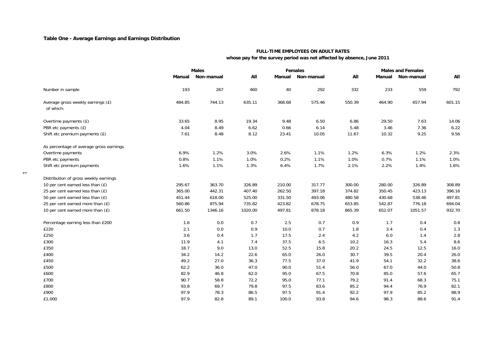### **Table One - Average Earnings and Earnings Distribution**

 $\rightarrow$ 

### **FULL-TIME EMPLOYEES ON ADULT RATES**

 **whose pay for the survey period was not affected by absence, June 2011**

|                                                |        | <b>Males</b> | <b>Females</b> |        |            | <b>Males and Females</b> |        |            |        |  |
|------------------------------------------------|--------|--------------|----------------|--------|------------|--------------------------|--------|------------|--------|--|
|                                                | Manual | Non-manual   | All            | Manual | Non-manual | All                      | Manual | Non-manual | All    |  |
| Number in sample                               | 193    | 267          | 460            | 40     | 292        | 332                      | 233    | 559        | 792    |  |
| Average gross weekly earnings (£)<br>of which: | 484.85 | 744.13       | 635.11         | 368.68 | 575.46     | 550.39                   | 464.90 | 657.94     | 601.15 |  |
| Overtime payments (£)                          | 33.65  | 8.95         | 19.34          | 9.48   | 6.50       | 6.86                     | 29.50  | 7.63       | 14.06  |  |
| PBR etc payments (£)                           | 4.04   | 8.49         | 6.62           | 0.66   | 6.14       | 5.48                     | 3.46   | 7.36       | 6.22   |  |
| Shift etc premium payments (£)                 | 7.61   | 8.48         | 8.12           | 23.41  | 10.05      | 11.67                    | 10.32  | 9.25       | 9.56   |  |
| As percentage of average gross earnings        |        |              |                |        |            |                          |        |            |        |  |
| Overtime payments                              | 6.9%   | 1.2%         | 3.0%           | 2.6%   | 1.1%       | 1.2%                     | 6.3%   | 1.2%       | 2.3%   |  |
| PBR etc payments                               | 0.8%   | 1.1%         | 1.0%           | 0.2%   | 1.1%       | 1.0%                     | 0.7%   | 1.1%       | 1.0%   |  |
| Shift etc premium payments                     | 1.6%   | 1.1%         | 1.3%           | 6.4%   | 1.7%       | 2.1%                     | 2.2%   | 1.4%       | 1.6%   |  |
| Distribution of gross weekly earnings          |        |              |                |        |            |                          |        |            |        |  |
| 10 per cent earned less than (£)               | 295.67 | 363.70       | 326.89         | 210.00 | 317.77     | 300.00                   | 280.00 | 326.89     | 308.89 |  |
| 25 per cent earned less than (£)               | 365.00 | 442.31       | 407.40         | 262.50 | 397.18     | 374.82                   | 350.45 | 423.13     | 396.16 |  |
| 50 per cent earned less than (£)               | 451.44 | 618.00       | 525.00         | 331.50 | 493.06     | 480.58                   | 430.68 | 538.46     | 497.81 |  |
| 25 per cent earned more than (£)               | 560.86 | 875.94       | 735.82         | 423.82 | 678.75     | 653.85                   | 542.87 | 776.18     | 694.04 |  |
| 10 per cent earned more than $(E)$             | 661.50 | 1346.16      | 1020.00        | 497.81 | 878.18     | 865.39                   | 652.07 | 1051.57    | 932.70 |  |
| Percentage earning less than £200              | 1.6    | 0.0          | 0.7            | 2.5    | 0.7        | 0.9                      | 1.7    | 0.4        | 0.8    |  |
| £220                                           | 2.1    | 0.0          | 0.9            | 10.0   | 0.7        | 1.8                      | 3.4    | 0.4        | 1.3    |  |
| £250                                           | 3.6    | 0.4          | 1.7            | 17.5   | 2.4        | 4.2                      | 6.0    | 1.4        | 2.8    |  |
| £300                                           | 11.9   | 4.1          | 7.4            | 37.5   | 6.5        | 10.2                     | 16.3   | 5.4        | 8.6    |  |
| £350                                           | 18.7   | 9.0          | 13.0           | 52.5   | 15.8       | 20.2                     | 24.5   | 12.5       | 16.0   |  |
| £400                                           | 34.2   | 14.2         | 22.6           | 65.0   | 26.0       | 30.7                     | 39.5   | 20.4       | 26.0   |  |
| £450                                           | 49.2   | 27.0         | 36.3           | 77.5   | 37.0       | 41.9                     | 54.1   | 32.2       | 38.6   |  |
| £500                                           | 62.2   | 36.0         | 47.0           | 90.0   | 51.4       | 56.0                     | 67.0   | 44.0       | 50.8   |  |
| £600                                           | 82.9   | 46.8         | 62.0           | 95.0   | 67.5       | 70.8                     | 85.0   | 57.6       | 65.7   |  |
| £700                                           | 90.7   | 58.8         | 72.2           | 95.0   | 77.1       | 79.2                     | 91.4   | 68.3       | 75.1   |  |
| £800                                           | 93.8   | 69.7         | 79.8           | 97.5   | 83.6       | 85.2                     | 94.4   | 76.9       | 82.1   |  |
| £900                                           | 97.9   | 78.3         | 86.5           | 97.5   | 91.4       | 92.2                     | 97.9   | 85.2       | 88.9   |  |
| £1,000                                         | 97.9   | 82.8         | 89.1           | 100.0  | 93.8       | 94.6                     | 98.3   | 88.6       | 91.4   |  |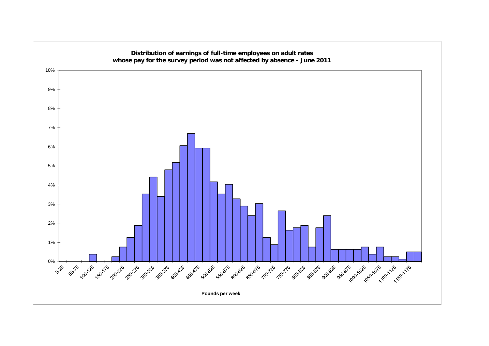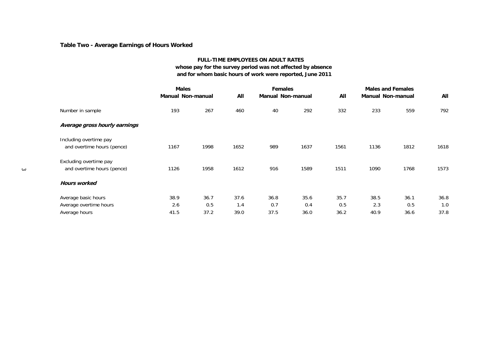### **Table Two - Average Earnings of Hours Worked**

### **FULL-TIME EMPLOYEES ON ADULT RATES whose pay for the survey period was not affected by absence and for whom basic hours of work were reported, June 2011**

|        |                               | <b>Males</b><br><b>Manual Non-manual</b> |      | All  | <b>Females</b><br><b>Manual Non-manual</b> |      | All  | <b>Males and Females</b><br><b>Manual Non-manual</b> |      | All  |
|--------|-------------------------------|------------------------------------------|------|------|--------------------------------------------|------|------|------------------------------------------------------|------|------|
|        | Number in sample              | 193                                      | 267  | 460  | 40                                         | 292  | 332  | 233                                                  | 559  | 792  |
|        | Average gross hourly earnings |                                          |      |      |                                            |      |      |                                                      |      |      |
|        | Including overtime pay        |                                          |      |      |                                            |      |      |                                                      |      |      |
|        | and overtime hours (pence)    | 1167                                     | 1998 | 1652 | 989                                        | 1637 | 1561 | 1136                                                 | 1812 | 1618 |
|        | Excluding overtime pay        |                                          |      |      |                                            |      |      |                                                      |      |      |
| $\sim$ | and overtime hours (pence)    | 1126                                     | 1958 | 1612 | 916                                        | 1589 | 1511 | 1090                                                 | 1768 | 1573 |
|        | <b>Hours worked</b>           |                                          |      |      |                                            |      |      |                                                      |      |      |
|        | Average basic hours           | 38.9                                     | 36.7 | 37.6 | 36.8                                       | 35.6 | 35.7 | 38.5                                                 | 36.1 | 36.8 |
|        | Average overtime hours        | 2.6                                      | 0.5  | 1.4  | 0.7                                        | 0.4  | 0.5  | 2.3                                                  | 0.5  | 1.0  |
|        | Average hours                 | 41.5                                     | 37.2 | 39.0 | 37.5                                       | 36.0 | 36.2 | 40.9                                                 | 36.6 | 37.8 |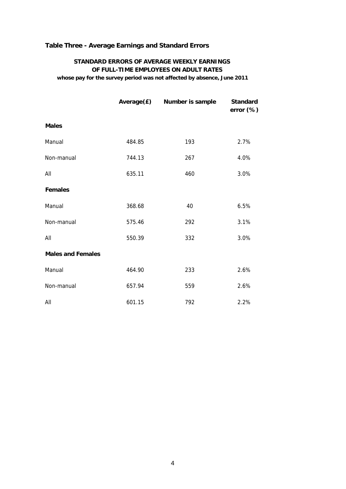### **Table Three - Average Earnings and Standard Errors**

### **STANDARD ERRORS OF AVERAGE WEEKLY EARNINGS OF FULL-TIME EMPLOYEES ON ADULT RATES**

 **whose pay for the survey period was not affected by absence, June 2011**

|                          |        | Average(£) Number is sample | <b>Standard</b><br>error $(\%)$ |
|--------------------------|--------|-----------------------------|---------------------------------|
| <b>Males</b>             |        |                             |                                 |
| Manual                   | 484.85 | 193                         | 2.7%                            |
| Non-manual               | 744.13 | 267                         | 4.0%                            |
| All                      | 635.11 | 460                         | 3.0%                            |
| <b>Females</b>           |        |                             |                                 |
| Manual                   | 368.68 | 40                          | 6.5%                            |
| Non-manual               | 575.46 | 292                         | 3.1%                            |
| All                      | 550.39 | 332                         | 3.0%                            |
| <b>Males and Females</b> |        |                             |                                 |
| Manual                   | 464.90 | 233                         | 2.6%                            |
| Non-manual               | 657.94 | 559                         | 2.6%                            |
| All                      | 601.15 | 792                         | 2.2%                            |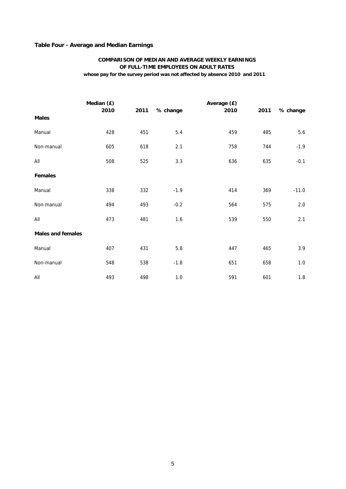### **Table Four - Average and Median Earnings**

### **whose pay for the survey period was not affected by absence 2010 and 2011 COMPARISON OF MEDIAN AND AVERAGE WEEKLY EARNINGS OF FULL-TIME EMPLOYEES ON ADULT RATES**

|                          | Median (£) |      |          | Average (£) |      |          |
|--------------------------|------------|------|----------|-------------|------|----------|
| <b>Males</b>             | 2010       | 2011 | % change | 2010        | 2011 | % change |
| Manual                   | 428        | 451  | 5.4      | 459         | 485  | 5.6      |
| Non-manual               | 605        | 618  | 2.1      | 758         | 744  | $-1.9$   |
| All                      | 508        | 525  | 3.3      | 636         | 635  | $-0.1$   |
| <b>Females</b>           |            |      |          |             |      |          |
| Manual                   | 338        | 332  | $-1.9$   | 414         | 369  | $-11.0$  |
| Non-manual               | 494        | 493  | $-0.2$   | 564         | 575  | 2.0      |
| All                      | 473        | 481  | 1.6      | 539         | 550  | 2.1      |
| <b>Males and females</b> |            |      |          |             |      |          |
| Manual                   | 407        | 431  | $5.8\,$  | 447         | 465  | 3.9      |
| Non-manual               | 548        | 538  | $-1.8$   | 651         | 658  | $1.0\,$  |
| All                      | 493        | 498  | $1.0$    | 591         | 601  | $1.8\,$  |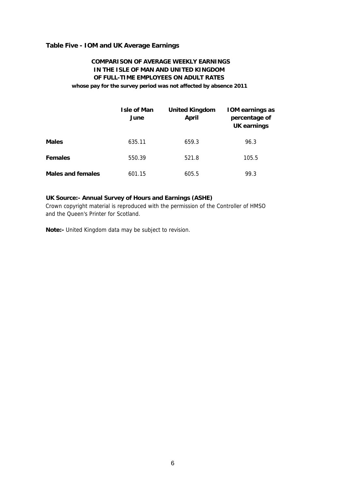### **Table Five - IOM and UK Average Earnings**

### **COMPARISON OF AVERAGE WEEKLY EARNINGS IN THE ISLE OF MAN AND UNITED KINGDOM OF FULL-TIME EMPLOYEES ON ADULT RATES whose pay for the survey period was not affected by absence 2011**

|                          | <b>Isle of Man</b><br>June | <b>United Kingdom</b><br>April | <b>IOM earnings as</b><br>percentage of<br>UK earnings |
|--------------------------|----------------------------|--------------------------------|--------------------------------------------------------|
| <b>Males</b>             | 635.11                     | 659.3                          | 96.3                                                   |
| <b>Females</b>           | 550.39                     | 521.8                          | 105.5                                                  |
| <b>Males and females</b> | 601.15                     | 605.5                          | 99.3                                                   |

### **UK Source:- Annual Survey of Hours and Earnings (ASHE)**

Crown copyright material is reproduced with the permission of the Controller of HMSO and the Queen's Printer for Scotland.

**Note:-** United Kingdom data may be subject to revision.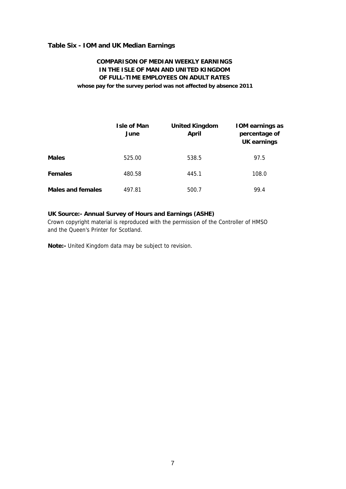### **Table Six - IOM and UK Median Earnings**

### **COMPARISON OF MEDIAN WEEKLY EARNINGS IN THE ISLE OF MAN AND UNITED KINGDOM OF FULL-TIME EMPLOYEES ON ADULT RATES whose pay for the survey period was not affected by absence 2011**

|                          | <b>Isle of Man</b><br>June | <b>United Kingdom</b><br><b>April</b> | <b>IOM earnings as</b><br>percentage of<br><b>UK earnings</b> |
|--------------------------|----------------------------|---------------------------------------|---------------------------------------------------------------|
| <b>Males</b>             | 525.00                     | 538.5                                 | 97.5                                                          |
| <b>Females</b>           | 480.58                     | 445.1                                 | 108.0                                                         |
| <b>Males and females</b> | 497.81                     | 500.7                                 | 99.4                                                          |

### **UK Source:- Annual Survey of Hours and Earnings (ASHE)**

Crown copyright material is reproduced with the permission of the Controller of HMSO and the Queen's Printer for Scotland.

**Note:-** United Kingdom data may be subject to revision.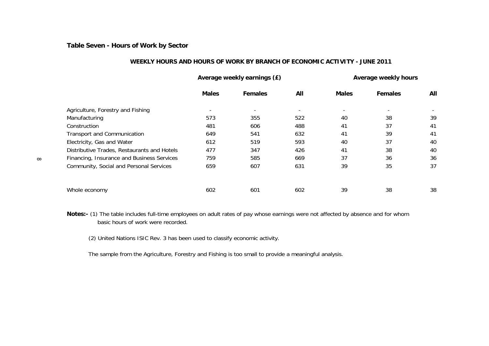**Table Seven - Hours of Work by Sector**

### **WEEKLY HOURS AND HOURS OF WORK BY BRANCH OF ECONOMIC ACTIVITY - JUNE 2011**

|          |                                             |                          | Average weekly earnings (£) | Average weekly hours |                          |                          |     |
|----------|---------------------------------------------|--------------------------|-----------------------------|----------------------|--------------------------|--------------------------|-----|
|          |                                             | <b>Males</b>             | <b>Females</b>              | All                  | <b>Males</b>             | <b>Females</b>           | All |
|          | Agriculture, Forestry and Fishing           | $\overline{\phantom{a}}$ | $\overline{\phantom{a}}$    |                      | $\overline{\phantom{a}}$ | $\overline{\phantom{a}}$ |     |
|          | Manufacturing                               | 573                      | 355                         | 522                  | 40                       | 38                       | 39  |
|          | Construction                                | 481                      | 606                         | 488                  | 41                       | 37                       | 41  |
|          | <b>Transport and Communication</b>          | 649                      | 541                         | 632                  | 41                       | 39                       | 41  |
|          | Electricity, Gas and Water                  | 612                      | 519                         | 593                  | 40                       | 37                       | 40  |
|          | Distributive Trades, Restaurants and Hotels | 477                      | 347                         | 426                  | 41                       | 38                       | 40  |
| $\infty$ | Financing, Insurance and Business Services  | 759                      | 585                         | 669                  | 37                       | 36                       | 36  |
|          | Community, Social and Personal Services     | 659                      | 607                         | 631                  | 39                       | 35                       | 37  |
|          | Whole economy                               | 602                      | 601                         | 602                  | 39                       | 38                       | 38  |

**Notes:-** (1) The table includes full-time employees on adult rates of pay whose earnings were not affected by absence and for whom basic hours of work were recorded.

(2) United Nations ISIC Rev. 3 has been used to classify economic activity.

The sample from the Agriculture, Forestry and Fishing is too small to provide a meaningful analysis.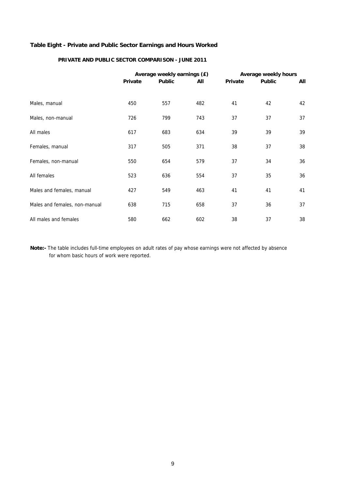### **Table Eight - Private and Public Sector Earnings and Hours Worked**

### **PRIVATE AND PUBLIC SECTOR COMPARISON - JUNE 2011**

|                               |                | Average weekly earnings (£) |     | Average weekly hours |               |     |  |  |
|-------------------------------|----------------|-----------------------------|-----|----------------------|---------------|-----|--|--|
|                               | <b>Private</b> | <b>Public</b>               | All | Private              | <b>Public</b> | All |  |  |
|                               |                |                             |     |                      |               |     |  |  |
| Males, manual                 | 450            | 557                         | 482 | 41                   | 42            | 42  |  |  |
| Males, non-manual             | 726            | 799                         | 743 | 37                   | 37            | 37  |  |  |
| All males                     | 617            | 683                         | 634 | 39                   | 39            | 39  |  |  |
| Females, manual               | 317            | 505                         | 371 | 38                   | 37            | 38  |  |  |
| Females, non-manual           | 550            | 654                         | 579 | 37                   | 34            | 36  |  |  |
| All females                   | 523            | 636                         | 554 | 37                   | 35            | 36  |  |  |
| Males and females, manual     | 427            | 549                         | 463 | 41                   | 41            | 41  |  |  |
| Males and females, non-manual | 638            | 715                         | 658 | 37                   | 36            | 37  |  |  |
| All males and females         | 580            | 662                         | 602 | 38                   | 37            | 38  |  |  |

**Note:-** The table includes full-time employees on adult rates of pay whose earnings were not affected by absence for whom basic hours of work were reported.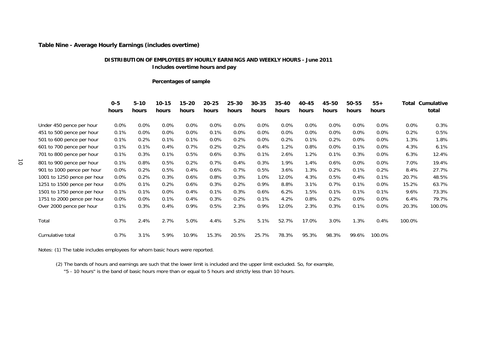### **Table Nine - Average Hourly Earnings (includes overtime)**

### **DISTRIBUTION OF EMPLOYEES BY HOURLY EARNINGS AND WEEKLY HOURS - June 2011 Includes overtime hours and pay**

### **Percentages of sample**

|    |                             | $0 - 5$<br>hours | $5 - 10$<br>hours | $10 - 15$<br>hours | 15-20<br>hours | $20 - 25$<br>hours | $25 - 30$<br>hours | $30 - 35$<br>hours | 35-40<br>hours | 40-45<br>hours | 45-50<br>hours | 50-55<br>hours | $55+$<br>hours | Total  | Cumulative<br>total |
|----|-----------------------------|------------------|-------------------|--------------------|----------------|--------------------|--------------------|--------------------|----------------|----------------|----------------|----------------|----------------|--------|---------------------|
|    | Under 450 pence per hour    | $0.0\%$          | 0.0%              | $0.0\%$            | $0.0\%$        | 0.0%               | $0.0\%$            | $0.0\%$            | $0.0\%$        | 0.0%           | $0.0\%$        | $0.0\%$        | 0.0%           | 0.0%   | 0.3%                |
|    | 451 to 500 pence per hour   | 0.1%             | 0.0%              | $0.0\%$            | $0.0\%$        | 0.1%               | $0.0\%$            | 0.0%               | $0.0\%$        | $0.0\%$        | $0.0\%$        | $0.0\%$        | 0.0%           | 0.2%   | 0.5%                |
|    | 501 to 600 pence per hour   | 0.1%             | 0.2%              | 0.1%               | 0.1%           | 0.0%               | 0.2%               | 0.0%               | 0.2%           | 0.1%           | 0.2%           | $0.0\%$        | 0.0%           | 1.3%   | 1.8%                |
|    | 601 to 700 pence per hour   | 0.1%             | 0.1%              | 0.4%               | 0.7%           | 0.2%               | 0.2%               | 0.4%               | 1.2%           | 0.8%           | $0.0\%$        | 0.1%           | 0.0%           | 4.3%   | 6.1%                |
|    | 701 to 800 pence per hour   | 0.1%             | 0.3%              | 0.1%               | 0.5%           | 0.6%               | 0.3%               | 0.1%               | 2.6%           | 1.2%           | 0.1%           | 0.3%           | 0.0%           | 6.3%   | 12.4%               |
| ਰੋ | 801 to 900 pence per hour   | 0.1%             | 0.8%              | 0.5%               | 0.2%           | 0.7%               | 0.4%               | 0.3%               | 1.9%           | 1.4%           | 0.6%           | $0.0\%$        | $0.0\%$        | 7.0%   | 19.4%               |
|    | 901 to 1000 pence per hour  | $0.0\%$          | 0.2%              | 0.5%               | 0.4%           | 0.6%               | 0.7%               | 0.5%               | 3.6%           | 1.3%           | 0.2%           | 0.1%           | 0.2%           | 8.4%   | 27.7%               |
|    | 1001 to 1250 pence per hour | $0.0\%$          | 0.2%              | 0.3%               | 0.6%           | 0.8%               | 0.3%               | 1.0%               | 12.0%          | 4.3%           | 0.5%           | 0.4%           | 0.1%           | 20.7%  | 48.5%               |
|    | 1251 to 1500 pence per hour | $0.0\%$          | 0.1%              | 0.2%               | 0.6%           | 0.3%               | 0.2%               | 0.9%               | 8.8%           | 3.1%           | 0.7%           | 0.1%           | $0.0\%$        | 15.2%  | 63.7%               |
|    | 1501 to 1750 pence per hour | 0.1%             | 0.1%              | $0.0\%$            | 0.4%           | 0.1%               | 0.3%               | 0.6%               | 6.2%           | 1.5%           | 0.1%           | 0.1%           | 0.1%           | 9.6%   | 73.3%               |
|    | 1751 to 2000 pence per hour | $0.0\%$          | 0.0%              | 0.1%               | 0.4%           | 0.3%               | 0.2%               | 0.1%               | 4.2%           | 0.8%           | 0.2%           | $0.0\%$        | 0.0%           | 6.4%   | 79.7%               |
|    | Over 2000 pence per hour    | 0.1%             | 0.3%              | 0.4%               | $0.9\%$        | 0.5%               | 2.3%               | 0.9%               | 12.0%          | 2.3%           | 0.3%           | 0.1%           | 0.0%           | 20.3%  | 100.0%              |
|    | Total                       | 0.7%             | 2.4%              | 2.7%               | 5.0%           | 4.4%               | 5.2%               | 5.1%               | 52.7%          | 17.0%          | 3.0%           | 1.3%           | 0.4%           | 100.0% |                     |
|    | Cumulative total            | 0.7%             | 3.1%              | 5.9%               | 10.9%          | 15.3%              | 20.5%              | 25.7%              | 78.3%          | 95.3%          | 98.3%          | 99.6%          | 100.0%         |        |                     |

Notes: (1) The table includes employees for whom basic hours were reported.

(2) The bands of hours and earnings are such that the lower limit is included and the upper limit excluded. So, for example,

"5 - 10 hours" is the band of basic hours more than or equal to 5 hours and strictly less than 10 hours.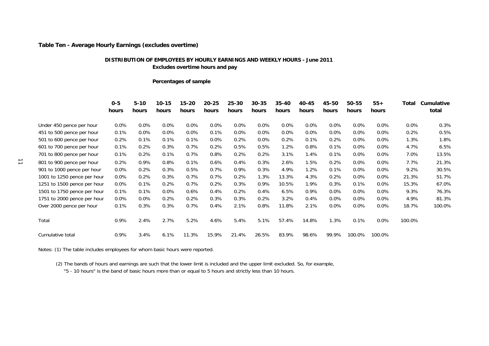### **Table Ten - Average Hourly Earnings (excludes overtime)**

### **DISTRIBUTION OF EMPLOYEES BY HOURLY EARNINGS AND WEEKLY HOURS - June 2011 Excludes overtime hours and pay**

### **Percentages of sample**

|                      |                             | $0 - 5$<br>hours | $5 - 10$<br>hours | $10 - 15$<br>hours | $15 - 20$<br>hours | $20 - 25$<br>hours | $25 - 30$<br>hours | $30 - 35$<br>hours | $35 - 40$<br>hours | 40-45<br>hours | 45-50<br>hours | 50-55<br>hours | $55+$<br>hours | Total   | Cumulative<br>total |
|----------------------|-----------------------------|------------------|-------------------|--------------------|--------------------|--------------------|--------------------|--------------------|--------------------|----------------|----------------|----------------|----------------|---------|---------------------|
|                      | Under 450 pence per hour    | 0.0%             | 0.0%              | 0.0%               | $0.0\%$            | $0.0\%$            | $0.0\%$            | 0.0%               | $0.0\%$            | 0.0%           | $0.0\%$        | 0.0%           | $0.0\%$        | $0.0\%$ | 0.3%                |
|                      | 451 to 500 pence per hour   | 0.1%             | 0.0%              | $0.0\%$            | $0.0\%$            | 0.1%               | $0.0\%$            | 0.0%               | $0.0\%$            | $0.0\%$        | $0.0\%$        | $0.0\%$        | $0.0\%$        | 0.2%    | 0.5%                |
|                      | 501 to 600 pence per hour   | 0.2%             | 0.1%              | 0.1%               | 0.1%               | $0.0\%$            | 0.2%               | 0.0%               | 0.2%               | 0.1%           | 0.2%           | 0.0%           | $0.0\%$        | 1.3%    | 1.8%                |
|                      | 601 to 700 pence per hour   | 0.1%             | 0.2%              | 0.3%               | 0.7%               | 0.2%               | 0.5%               | 0.5%               | 1.2%               | 0.8%           | 0.1%           | 0.0%           | $0.0\%$        | 4.7%    | 6.5%                |
|                      | 701 to 800 pence per hour   | 0.1%             | 0.2%              | 0.1%               | 0.7%               | 0.8%               | 0.2%               | 0.2%               | 3.1%               | 1.4%           | 0.1%           | 0.0%           | $0.0\%$        | 7.0%    | 13.5%               |
| $\overrightarrow{a}$ | 801 to 900 pence per hour   | 0.2%             | 0.9%              | 0.8%               | 0.1%               | 0.6%               | 0.4%               | 0.3%               | 2.6%               | 1.5%           | 0.2%           | 0.0%           | $0.0\%$        | 7.7%    | 21.3%               |
|                      | 901 to 1000 pence per hour  | $0.0\%$          | 0.2%              | 0.3%               | 0.5%               | 0.7%               | 0.9%               | 0.3%               | 4.9%               | 1.2%           | 0.1%           | 0.0%           | $0.0\%$        | 9.2%    | 30.5%               |
|                      | 1001 to 1250 pence per hour | $0.0\%$          | 0.2%              | 0.3%               | 0.7%               | 0.7%               | 0.2%               | 1.3%               | 13.3%              | 4.3%           | 0.2%           | $0.0\%$        | $0.0\%$        | 21.3%   | 51.7%               |
|                      | 1251 to 1500 pence per hour | $0.0\%$          | 0.1%              | 0.2%               | 0.7%               | 0.2%               | 0.3%               | 0.9%               | 10.5%              | 1.9%           | 0.3%           | 0.1%           | $0.0\%$        | 15.3%   | 67.0%               |
|                      | 1501 to 1750 pence per hour | 0.1%             | 0.1%              | 0.0%               | 0.6%               | 0.4%               | 0.2%               | 0.4%               | 6.5%               | 0.9%           | $0.0\%$        | 0.0%           | $0.0\%$        | 9.3%    | 76.3%               |
|                      | 1751 to 2000 pence per hour | $0.0\%$          | 0.0%              | 0.2%               | 0.2%               | 0.3%               | 0.3%               | 0.2%               | 3.2%               | 0.4%           | $0.0\%$        | 0.0%           | $0.0\%$        | 4.9%    | 81.3%               |
|                      | Over 2000 pence per hour    | 0.1%             | 0.3%              | 0.3%               | 0.7%               | 0.4%               | 2.1%               | 0.8%               | 11.8%              | 2.1%           | $0.0\%$        | 0.0%           | $0.0\%$        | 18.7%   | 100.0%              |
|                      | Total                       | 0.9%             | 2.4%              | 2.7%               | 5.2%               | 4.6%               | 5.4%               | 5.1%               | 57.4%              | 14.8%          | 1.3%           | 0.1%           | $0.0\%$        | 100.0%  |                     |
|                      | Cumulative total            | 0.9%             | 3.4%              | 6.1%               | 11.3%              | 15.9%              | 21.4%              | 26.5%              | 83.9%              | 98.6%          | 99.9%          | 100.0%         | 100.0%         |         |                     |

Notes: (1) The table includes employees for whom basic hours were reported.

(2) The bands of hours and earnings are such that the lower limit is included and the upper limit excluded. So, for example,

"5 - 10 hours" is the band of basic hours more than or equal to 5 hours and strictly less than 10 hours.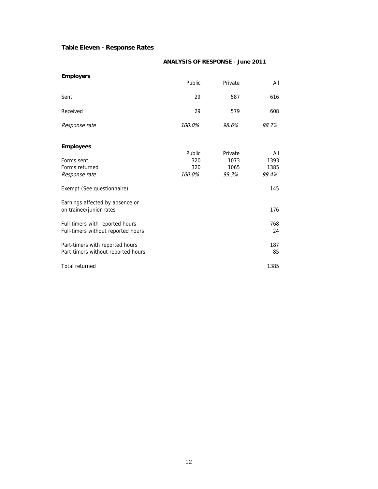### **Table Eleven - Response Rates**

### **ANALYSIS OF RESPONSE - June 2011**

| <b>Employers</b>                   |               |         |       |
|------------------------------------|---------------|---------|-------|
|                                    | Public        | Private | All   |
| Sent                               | 29            | 587     | 616   |
| Received                           | 29            | 579     | 608   |
| Response rate                      | 100.0%        | 98.6%   | 98.7% |
| <b>Employees</b>                   |               |         |       |
|                                    | <b>Public</b> | Private | All   |
| Forms sent                         | 320           | 1073    | 1393  |
| Forms returned                     | 320           | 1065    | 1385  |
| Response rate                      | 100.0%        | 99.3%   | 99.4% |
| Exempt (See questionnaire)         |               |         | 145   |
| Earnings affected by absence or    |               |         |       |
| on trainee/junior rates            |               |         | 176   |
| Full-timers with reported hours    |               |         | 768   |
| Full-timers without reported hours |               |         | 24    |
| Part-timers with reported hours    |               |         | 187   |
| Part-timers without reported hours |               |         | 85    |
| Total returned                     |               |         | 1385  |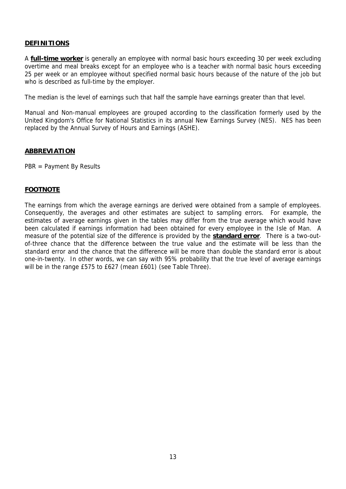### **DEFINITIONS**

A **full-time worker** is generally an employee with normal basic hours exceeding 30 per week excluding overtime and meal breaks except for an employee who is a teacher with normal basic hours exceeding 25 per week or an employee without specified normal basic hours because of the nature of the job but who is described as full-time by the employer.

The median is the level of earnings such that half the sample have earnings greater than that level.

Manual and Non-manual employees are grouped according to the classification formerly used by the United Kingdom's Office for National Statistics in its annual New Earnings Survey (NES). NES has been replaced by the Annual Survey of Hours and Earnings (ASHE).

### **ABBREVIATION**

PBR = Payment By Results

### **FOOTNOTE**

The earnings from which the average earnings are derived were obtained from a sample of employees. Consequently, the averages and other estimates are subject to sampling errors. For example, the estimates of average earnings given in the tables may differ from the true average which would have been calculated if earnings information had been obtained for every employee in the Isle of Man. A measure of the potential size of the difference is provided by the **standard error**. There is a two-outof-three chance that the difference between the true value and the estimate will be less than the standard error and the chance that the difference will be more than double the standard error is about one-in-twenty. In other words, we can say with 95% probability that the true level of average earnings will be in the range £575 to £627 (mean £601) (see Table Three).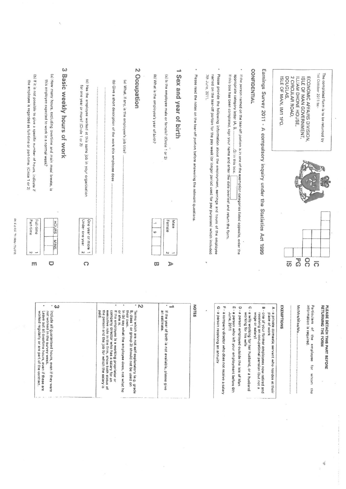| (b) If it is not possible to give a specific number of hours, indicate if<br>the employee is regarded as full-time or part-time. (Circle 1 or 2) | Basic weekly hours of work<br>(a) How many hours, excluding overtime and main meal breaks, is<br>this employee expected to work in a normal week?                                                                                            | ω<br>(c) Has the employee worked at this same job in your organisation<br>for one year or more? (Circle 1 or 2) | $\mathcal{R}$<br>Occupation<br>(b) Give a short description of the work this employee does<br>(a) What, if any, is the employee's job title?<br><br><br>$\ddot{\cdot}$                                                                                                                                                                                                                                             | anab<br>(b) What is the employee's year of birth?<br>(a) is the employee male or female? (Circle 1 or 2)<br>$\omega$<br><b>RSX</b><br>pue<br>Vear<br>$\frac{1}{2}$<br>birth | Please read the notes on the tear-off portion before answering the relevant questions.<br>7th June, 2011. | Please provide the following information about the employment, earnings and hours of the employee<br>named on the tear-off portion for the pay week (or longer period used for pay purposes) which included | If this box has been completed, sign your name and enter the date overleaf and return the form<br>If the person named on the tear-off portion is in one of the exemption categories listed opposite, enter the | CONFIDENTIAL<br>Earnings<br>Survey<br>2011<br>$\pmb{\imath}$<br>Þ<br>compulsory inquiry under the Statistics                                                                                                                                                    | DOUGLAS,<br>ISLE OF MAN, IM1 1PQ                                | 2 CIRCULAR ROAD,<br>ILLIAM DHONE HOUSE,<br>ECONOMIC AFFAIRS DIVISION,<br>ISLE OF MAN GOVERNMENT,                  | 1st October 2011 to:-<br>The completed form is to be returned by |
|--------------------------------------------------------------------------------------------------------------------------------------------------|----------------------------------------------------------------------------------------------------------------------------------------------------------------------------------------------------------------------------------------------|-----------------------------------------------------------------------------------------------------------------|--------------------------------------------------------------------------------------------------------------------------------------------------------------------------------------------------------------------------------------------------------------------------------------------------------------------------------------------------------------------------------------------------------------------|-----------------------------------------------------------------------------------------------------------------------------------------------------------------------------|-----------------------------------------------------------------------------------------------------------|-------------------------------------------------------------------------------------------------------------------------------------------------------------------------------------------------------------|----------------------------------------------------------------------------------------------------------------------------------------------------------------------------------------------------------------|-----------------------------------------------------------------------------------------------------------------------------------------------------------------------------------------------------------------------------------------------------------------|-----------------------------------------------------------------|-------------------------------------------------------------------------------------------------------------------|------------------------------------------------------------------|
| Part-time<br>N                                                                                                                                   | <b>Full-time</b><br><b>HOURS</b><br><b>SNIM</b>                                                                                                                                                                                              | Under one year<br>One year or more<br>$\sim$                                                                    |                                                                                                                                                                                                                                                                                                                                                                                                                    | Male<br>Female<br>6<br>Z                                                                                                                                                    |                                                                                                           |                                                                                                                                                                                                             |                                                                                                                                                                                                                | <b>Act 1999</b>                                                                                                                                                                                                                                                 |                                                                 |                                                                                                                   |                                                                  |
| m                                                                                                                                                | $\circ$                                                                                                                                                                                                                                      | $\Omega$                                                                                                        |                                                                                                                                                                                                                                                                                                                                                                                                                    | $\triangleright$<br>σū                                                                                                                                                      | ę                                                                                                         |                                                                                                                                                                                                             |                                                                                                                                                                                                                |                                                                                                                                                                                                                                                                 | $\overline{\overline{0}}$                                       | $\overline{5}$<br>$\overline{0}$<br>$\overline{O}$                                                                |                                                                  |
|                                                                                                                                                  | $\omega$<br>Leave out all overtime hours, even if these a<br>worked regularly or are part of the contract.<br>not worked in the survey week.<br>Include a<br>Il guaranteed hours, even if they were<br>all overtime hours, even if these are |                                                                                                                 | ۰<br>$\cdot$ N<br>the perso<br>or she is.<br>paid.<br>If the employee is a working proprietor or<br>company director who has a salary for an<br>executive role in the firm, show both status of<br>their own.<br>B, class 1<br>yes (q) ul<br>Terms which are not self-explanatory (e.g. grade<br>n and the job for which the salary is<br>what the employee does, not what he<br>or group 3) should not be used on | د<br>an estimate.<br>If the year of birth is not available, please give                                                                                                     | NOTES<br>$\epsilon$                                                                                       | G<br>71<br>-a person<br>a company director who does not receive a salary<br>receiving an annuity                                                                                                            | m<br>O<br>$\,$<br>uosaad e-<br>a person<br>working<br>June, 2011<br>employed outside the Isle of Man<br>tor his wite<br>who left your employment before 6th                                                    | C<br>B - one of your former employees now retired and<br>A - a private<br>- a wife working for her husband, or a husband<br>Wage or salary)<br>receiving an occupational pension (but not a<br>place of<br><b>WOrk</b><br>domestic servant who resides at their | EXEMPTIONS<br>,,,,,,,,,,,,,,<br>******************************* | Particulars<br>information<br>is required.<br>of the employee<br>for<br>**************************<br>whom<br>the | PLEASE DETACH THIS PART BEFORE<br><b>RETURNING</b><br>THE FORM   |

**DI EASE TI IRM OVER** 

 $\overline{c}$ 

rorking proprietor or<br>o has a salary for an<br>irm, show both status of<br>b for which the salary is loyee does, not what he lf-explanatory (e.g. grade<br>hould not be used on it available, please give

 $\bar{\alpha}$ 

 $\mathcal{L}_{\mathbf{r}}$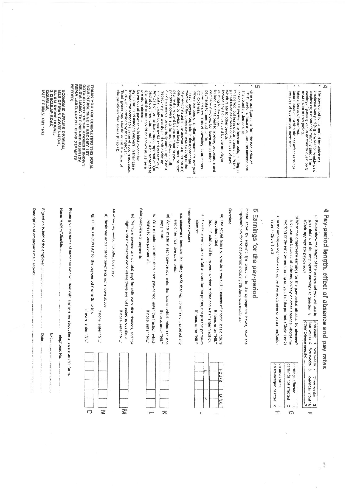|                                                                                                                                                                                                                                                                                                                                                                                                                                                                                                                                                                                                                                                                                      | ×<br>ø<br>$\bullet$                                                                                                                                                                                                                                                                                                                                                                                                                       | ×                                                                                                                                                                                                                                                                                                                           | ۰<br><b>CTI</b>                             | ٠                                                                                                                 | 4b                                                                                                                                                                                                                            |
|--------------------------------------------------------------------------------------------------------------------------------------------------------------------------------------------------------------------------------------------------------------------------------------------------------------------------------------------------------------------------------------------------------------------------------------------------------------------------------------------------------------------------------------------------------------------------------------------------------------------------------------------------------------------------------------|-------------------------------------------------------------------------------------------------------------------------------------------------------------------------------------------------------------------------------------------------------------------------------------------------------------------------------------------------------------------------------------------------------------------------------------------|-----------------------------------------------------------------------------------------------------------------------------------------------------------------------------------------------------------------------------------------------------------------------------------------------------------------------------|---------------------------------------------|-------------------------------------------------------------------------------------------------------------------|-------------------------------------------------------------------------------------------------------------------------------------------------------------------------------------------------------------------------------|
| agricultural and catering workers. In their case<br>calculated by dividing the last payment (or next<br>payment if known) by the number of pay-<br>premium element.<br>divide an annual or quarterly bonus by 12 or<br>revinent it strown) by the number of pay-<br>periods it covers, e.g. for monthly paid staff,<br>divide an annual oc monthly paid staff,<br>Leave out all payments in kind except for<br>5(a) and 5(b) but should be<br>respectively; for weekly paid staff divide an<br>annual monthly bonus by 52 or 4 respectively.<br>Any part of normal basic hours reported at 3(a)<br>paid at overtime rates should not be recorded at<br>shown at 5(e)<br>98<br>ω<br>ω | relating to the period.<br>company directors, but leave out all other<br>Include salaries paid to working proprietors and<br>fraction of the bonus payments relating to the<br>pay-period stated in the answer to question 4(a)<br>in each pay-period, include the appropriate<br>etc. expenses.<br>Where bonuses or similar payments are<br>payments to them such as fees.<br>Leave out payments of travelling, subsistence,<br>not paid | Include any sick pay paid by the employer<br>which relate to other periods<br>period (such as arrears or advances of pay)<br>Include all payments, whenever paid, relating<br>this period, but leave out amounts paid in this<br>any voluntary deductions.<br>I.T.I.P., national insurance, pension scheme and<br>$\vec{a}$ | Giva gross figures, before the deduction of | Ignore absences which<br>Ignore losses of overtime.<br>because of guaranteed payments.<br>did not affect earnings | employee was paid (e.g. a week for weekly<br>employees; a month for monthly paid). The<br>earnings figures given in answer to question 5<br>must relate to this period.<br>The pay-period is the period for which the<br>pied |

NOW PLEASE SEND IT BACK BY 1ST<br>OCTOBER 2011 TO THE ADDRESS SHOWN<br>BELOW, USING THE PREPAID BUSINESS<br>BELOW, USING THE PREPAID BUSINESS<br>REPLY LABEL SUPPLIED (NO STAMP IS **NEEDED)** 

**ECONOMIC AFFAIRS DIVISION,<br>ISLE OF MAN GOVERNMENT,<br>ILLIAM DHONE HOUSE,<br>2 CIRCULAR ROAD,<br>2 CIRCULAR ROAD,** ISLE OF MAN, IM1 1PO poushas

## 4 Pay-period length, effect of absence and pay rates (a) Please show the length of the pay-period you will use to one week 1 two weeks 2<br>four weeks 4 five weeks 5

(Circle appropriate pay-period) give details of the employee's earnings at question 5. other (please specify)

(b) Were the employee's earnings for the pay-period affected by absence? working or the employment lasting only part of the period). (Circle 1 or 2) (For example because of sickness, holiday or other absence, short-time

(c) is the employee regarded as being paid on adult rates or on trainee/junior rates? (Circle 1 or 2)

> on trainee/junior rates on adult rates earnings not affected earnings affected

 $\mathbf{v}$ 

 $\overline{x}$ 

 $\overline{v}$ 

 $\Omega$ 

### Cη Earnings for the pay-period

employee's pay for the pay-period including 7th June was made up. Please show by entering the amounts in the appropriate boxes, how the

### Overtime

(a) The actual hours of overtime worked in excess of normal basic hours (e.g. if 4 additional hours were worked at time and a half enter 4 not 6). reported at 3(a) If none, enter "NIL"

(b) Overtime earnings - the full amount for the period, not just the premium element. If none, enter "NIL"

### Incentive payments

- e.g. piecework, bonuses (including profit sharing), commission, productivity and other incentive payments.
- (c) Where made in each pay-period, enter the fraction which relates to one pay-period. If none, enter "NIL."

 $\overline{\mathbf{z}}$ 

(d) Where made less often than each pay-period, enter the fraction which relates to one pay-period. If none, enter "NIL"

### Shift premium etc. payments

(e) Premium payments (not total pay) for shift work disturbances, and for hight work or weekend work where these are not treated as overtime.

If none, enter "NIL"

₹

# All other payments, including basic pay

- 
- (f) Basic pay and all other payments not shown above.
- (g) TOTAL GROSS PAY for the pay-period (items (b) to (f)) If none, enter "NIL"

If none, enter "NIL"

 $\ddot{\circ}$ 

 $\geq$ 

Please give the name of someone who will deal with any quaries about the answers on this form

Name Mr/Mrs/Miss/Ms Telephone: No

Signed on behalf of the employer Ext. Date

 $\overline{\phantom{a}}$ 

Description of employer's main activity













**HOURS MINS.** 



three weeks calendar month 6

 $\omega$ 

.<br>Tri